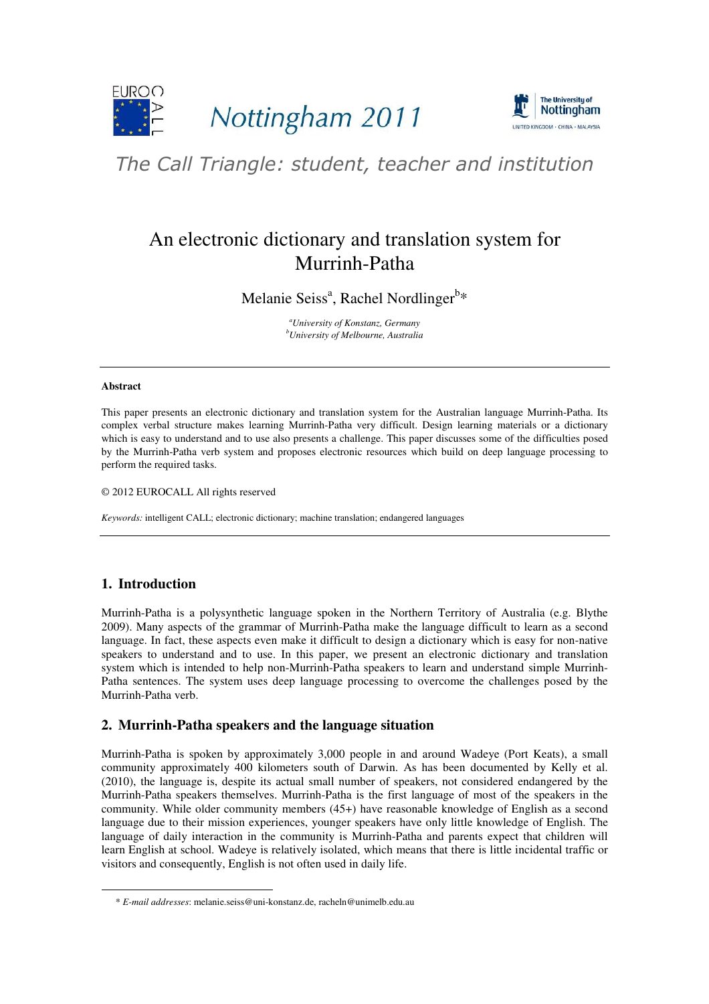



# The Call Triangle: student, teacher and institution

# An electronic dictionary and translation system for Murrinh-Patha

Melanie Seiss<sup>a</sup>, Rachel Nordlinger<sup>b\*</sup>

*<sup>a</sup>University of Konstanz, Germany <sup>b</sup>University of Melbourne, Australia* 

#### **Abstract**

This paper presents an electronic dictionary and translation system for the Australian language Murrinh-Patha. Its complex verbal structure makes learning Murrinh-Patha very difficult. Design learning materials or a dictionary which is easy to understand and to use also presents a challenge. This paper discusses some of the difficulties posed by the Murrinh-Patha verb system and proposes electronic resources which build on deep language processing to perform the required tasks.

© 2012 EUROCALL All rights reserved

*Keywords:* intelligent CALL; electronic dictionary; machine translation; endangered languages

# **1. Introduction**

-

Murrinh-Patha is a polysynthetic language spoken in the Northern Territory of Australia (e.g. Blythe 2009). Many aspects of the grammar of Murrinh-Patha make the language difficult to learn as a second language. In fact, these aspects even make it difficult to design a dictionary which is easy for non-native speakers to understand and to use. In this paper, we present an electronic dictionary and translation system which is intended to help non-Murrinh-Patha speakers to learn and understand simple Murrinh-Patha sentences. The system uses deep language processing to overcome the challenges posed by the Murrinh-Patha verb.

### **2. Murrinh-Patha speakers and the language situation**

Murrinh-Patha is spoken by approximately 3,000 people in and around Wadeye (Port Keats), a small community approximately 400 kilometers south of Darwin. As has been documented by Kelly et al. (2010), the language is, despite its actual small number of speakers, not considered endangered by the Murrinh-Patha speakers themselves. Murrinh-Patha is the first language of most of the speakers in the community. While older community members (45+) have reasonable knowledge of English as a second language due to their mission experiences, younger speakers have only little knowledge of English. The language of daily interaction in the community is Murrinh-Patha and parents expect that children will learn English at school. Wadeye is relatively isolated, which means that there is little incidental traffic or visitors and consequently, English is not often used in daily life.

<sup>\*</sup> *E-mail addresses*: melanie.seiss@uni-konstanz.de, racheln@unimelb.edu.au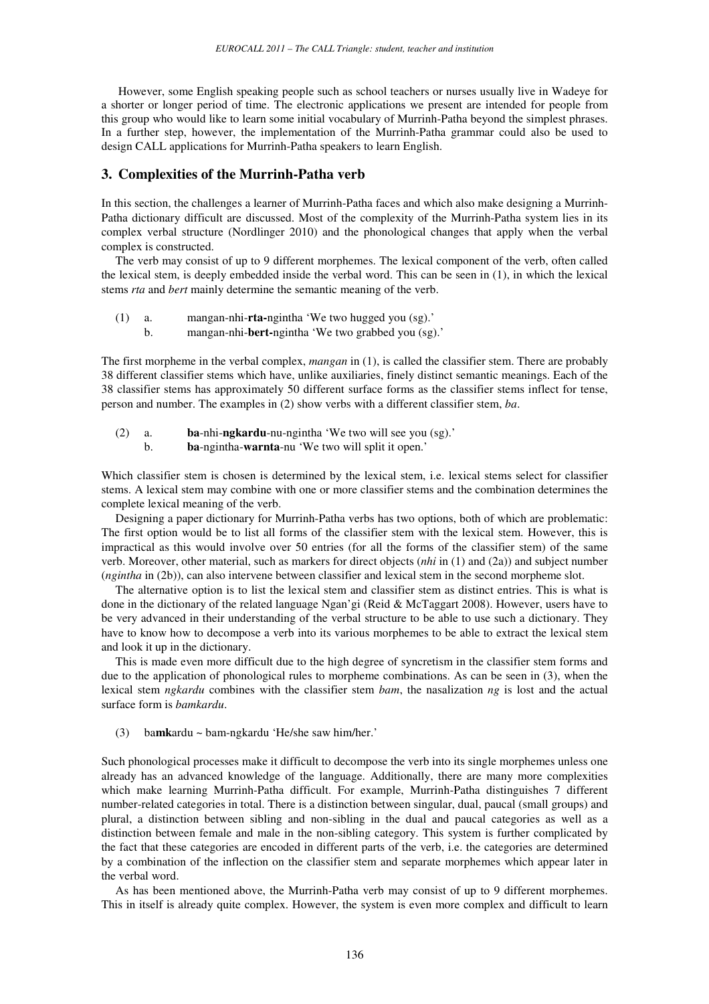However, some English speaking people such as school teachers or nurses usually live in Wadeye for a shorter or longer period of time. The electronic applications we present are intended for people from this group who would like to learn some initial vocabulary of Murrinh-Patha beyond the simplest phrases. In a further step, however, the implementation of the Murrinh-Patha grammar could also be used to design CALL applications for Murrinh-Patha speakers to learn English.

#### **3. Complexities of the Murrinh-Patha verb**

In this section, the challenges a learner of Murrinh-Patha faces and which also make designing a Murrinh-Patha dictionary difficult are discussed. Most of the complexity of the Murrinh-Patha system lies in its complex verbal structure (Nordlinger 2010) and the phonological changes that apply when the verbal complex is constructed.

The verb may consist of up to 9 different morphemes. The lexical component of the verb, often called the lexical stem, is deeply embedded inside the verbal word. This can be seen in (1), in which the lexical stems *rta* and *bert* mainly determine the semantic meaning of the verb.

- (1) a. mangan-nhi-**rta-**ngintha 'We two hugged you (sg).'
	- b. mangan-nhi-**bert-**ngintha 'We two grabbed you (sg).'

The first morpheme in the verbal complex, *mangan* in (1), is called the classifier stem. There are probably 38 different classifier stems which have, unlike auxiliaries, finely distinct semantic meanings. Each of the 38 classifier stems has approximately 50 different surface forms as the classifier stems inflect for tense, person and number. The examples in (2) show verbs with a different classifier stem, *ba*.

- (2) a. **ba**-nhi-**ngkardu**-nu-ngintha 'We two will see you (sg).'
	- b. **ba**-ngintha-**warnta**-nu 'We two will split it open.'

Which classifier stem is chosen is determined by the lexical stem, i.e. lexical stems select for classifier stems. A lexical stem may combine with one or more classifier stems and the combination determines the complete lexical meaning of the verb.

Designing a paper dictionary for Murrinh-Patha verbs has two options, both of which are problematic: The first option would be to list all forms of the classifier stem with the lexical stem. However, this is impractical as this would involve over 50 entries (for all the forms of the classifier stem) of the same verb. Moreover, other material, such as markers for direct objects (*nhi* in (1) and (2a)) and subject number (*ngintha* in (2b)), can also intervene between classifier and lexical stem in the second morpheme slot.

The alternative option is to list the lexical stem and classifier stem as distinct entries. This is what is done in the dictionary of the related language Ngan'gi (Reid & McTaggart 2008). However, users have to be very advanced in their understanding of the verbal structure to be able to use such a dictionary. They have to know how to decompose a verb into its various morphemes to be able to extract the lexical stem and look it up in the dictionary.

This is made even more difficult due to the high degree of syncretism in the classifier stem forms and due to the application of phonological rules to morpheme combinations. As can be seen in (3), when the lexical stem *ngkardu* combines with the classifier stem *bam*, the nasalization *ng* is lost and the actual surface form is *bamkardu*.

(3) ba**mk**ardu ~ bam-ngkardu 'He/she saw him/her.'

Such phonological processes make it difficult to decompose the verb into its single morphemes unless one already has an advanced knowledge of the language. Additionally, there are many more complexities which make learning Murrinh-Patha difficult. For example, Murrinh-Patha distinguishes 7 different number-related categories in total. There is a distinction between singular, dual, paucal (small groups) and plural, a distinction between sibling and non-sibling in the dual and paucal categories as well as a distinction between female and male in the non-sibling category. This system is further complicated by the fact that these categories are encoded in different parts of the verb, i.e. the categories are determined by a combination of the inflection on the classifier stem and separate morphemes which appear later in the verbal word.

As has been mentioned above, the Murrinh-Patha verb may consist of up to 9 different morphemes. This in itself is already quite complex. However, the system is even more complex and difficult to learn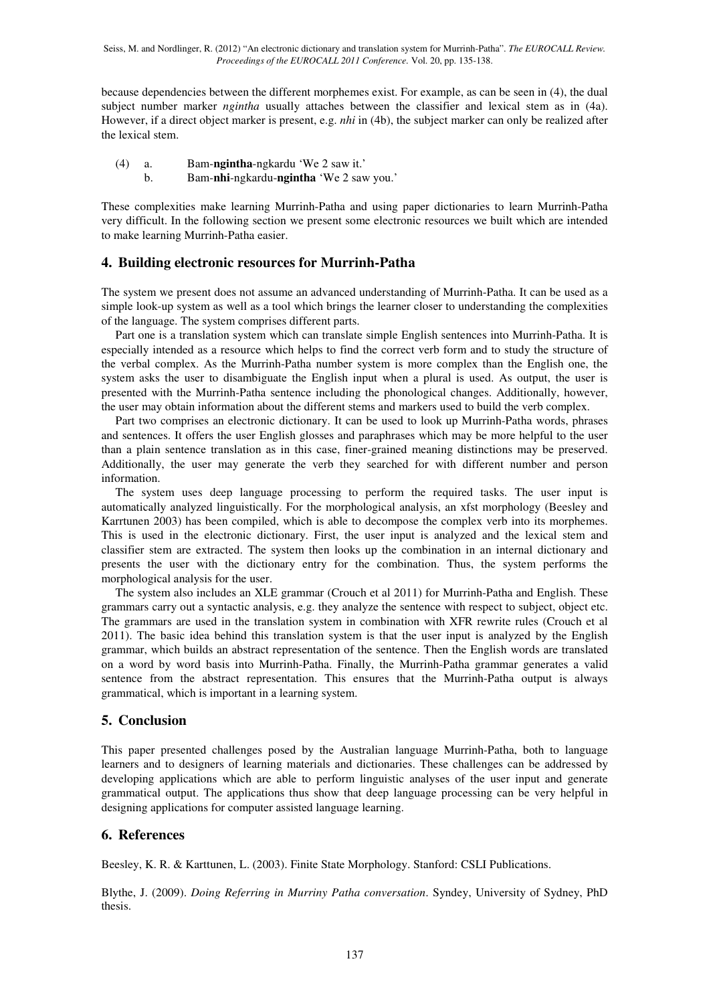Seiss, M. and Nordlinger, R. (2012) "An electronic dictionary and translation system for Murrinh-Patha". *The EUROCALL Review. Proceedings of the EUROCALL 2011 Conference.* Vol. 20, pp. 135-138.

because dependencies between the different morphemes exist. For example, as can be seen in (4), the dual subject number marker *ngintha* usually attaches between the classifier and lexical stem as in (4a). However, if a direct object marker is present, e.g. *nhi* in (4b), the subject marker can only be realized after the lexical stem.

(4) a. Bam-**ngintha**-ngkardu 'We 2 saw it.'

b. Bam-**nhi**-ngkardu-**ngintha** 'We 2 saw you.'

These complexities make learning Murrinh-Patha and using paper dictionaries to learn Murrinh-Patha very difficult. In the following section we present some electronic resources we built which are intended to make learning Murrinh-Patha easier.

# **4. Building electronic resources for Murrinh-Patha**

The system we present does not assume an advanced understanding of Murrinh-Patha. It can be used as a simple look-up system as well as a tool which brings the learner closer to understanding the complexities of the language. The system comprises different parts.

Part one is a translation system which can translate simple English sentences into Murrinh-Patha. It is especially intended as a resource which helps to find the correct verb form and to study the structure of the verbal complex. As the Murrinh-Patha number system is more complex than the English one, the system asks the user to disambiguate the English input when a plural is used. As output, the user is presented with the Murrinh-Patha sentence including the phonological changes. Additionally, however, the user may obtain information about the different stems and markers used to build the verb complex.

Part two comprises an electronic dictionary. It can be used to look up Murrinh-Patha words, phrases and sentences. It offers the user English glosses and paraphrases which may be more helpful to the user than a plain sentence translation as in this case, finer-grained meaning distinctions may be preserved. Additionally, the user may generate the verb they searched for with different number and person information.

The system uses deep language processing to perform the required tasks. The user input is automatically analyzed linguistically. For the morphological analysis, an xfst morphology (Beesley and Karrtunen 2003) has been compiled, which is able to decompose the complex verb into its morphemes. This is used in the electronic dictionary. First, the user input is analyzed and the lexical stem and classifier stem are extracted. The system then looks up the combination in an internal dictionary and presents the user with the dictionary entry for the combination. Thus, the system performs the morphological analysis for the user.

The system also includes an XLE grammar (Crouch et al 2011) for Murrinh-Patha and English. These grammars carry out a syntactic analysis, e.g. they analyze the sentence with respect to subject, object etc. The grammars are used in the translation system in combination with XFR rewrite rules (Crouch et al 2011). The basic idea behind this translation system is that the user input is analyzed by the English grammar, which builds an abstract representation of the sentence. Then the English words are translated on a word by word basis into Murrinh-Patha. Finally, the Murrinh-Patha grammar generates a valid sentence from the abstract representation. This ensures that the Murrinh-Patha output is always grammatical, which is important in a learning system.

# **5. Conclusion**

This paper presented challenges posed by the Australian language Murrinh-Patha, both to language learners and to designers of learning materials and dictionaries. These challenges can be addressed by developing applications which are able to perform linguistic analyses of the user input and generate grammatical output. The applications thus show that deep language processing can be very helpful in designing applications for computer assisted language learning.

### **6. References**

Beesley, K. R. & Karttunen, L. (2003). Finite State Morphology. Stanford: CSLI Publications.

Blythe, J. (2009). *Doing Referring in Murriny Patha conversation*. Syndey, University of Sydney, PhD thesis.